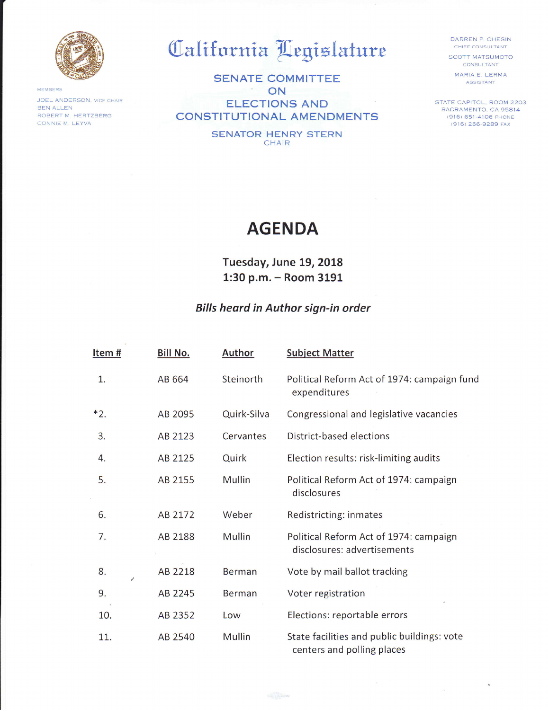

**MEMBERS** 

JOEL ANDERSON, VICE CHAIR BEN ALLEN ROBERT M. HERTZBERG CONNIE M. LEYVA

## California Legislature

SENATE COMMITTEE  $\sim$ ON ELECTIONS AND CONSTITUTIONAL AMENDMENTS

> SENATOR HENRY STERN **CHAIR**

DARREN P. CHESIN **CHIEF CONSULTANT** 

SCOTT MATSUMOTO CONSULTANT

MARIA E. LERMA ASSISTANT

STATE CAPITOL, ROOM 2203 SACRAMENTO. CA 95814 (916) 651 4106 PHONE (916) 266-9289 FAx

## AGENDA

Tuesday, June 19, 2018 1:30 p.m. - Room <sup>3191</sup>

## Bills heard in Author sign-in order

| Item# | <b>Bill No.</b> | <b>Author</b> | <b>Subject Matter</b>                                                     |
|-------|-----------------|---------------|---------------------------------------------------------------------------|
| 1.    | AB 664          | Steinorth     | Political Reform Act of 1974: campaign fund<br>expenditures               |
| $*2.$ | AB 2095         | Quirk-Silva   | Congressional and legislative vacancies                                   |
| 3.    | AB 2123         | Cervantes     | District-based elections                                                  |
| 4.    | AB 2125         | Quirk         | Election results: risk-limiting audits                                    |
| 5.    | AB 2155         | <b>Mullin</b> | Political Reform Act of 1974: campaign<br>disclosures                     |
| 6.    | AB 2172         | Weber         | Redistricting: inmates                                                    |
| 7.    | AB 2188         | Mullin        | Political Reform Act of 1974: campaign<br>disclosures: advertisements     |
| 8.    | AB 2218         | <b>Berman</b> | Vote by mail ballot tracking                                              |
| 9.    | AB 2245         | Berman        | Voter registration                                                        |
| 10.   | AB 2352         | Low           | Elections: reportable errors                                              |
| 11.   | AB 2540         | Mullin        | State facilities and public buildings: vote<br>centers and polling places |